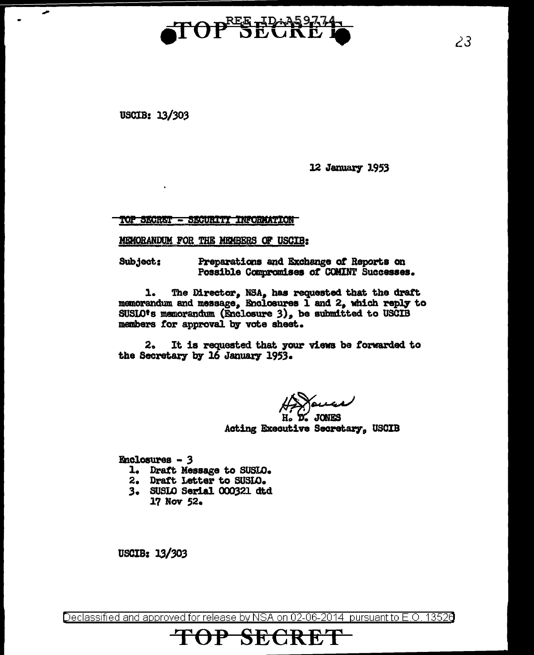

USCIB: 13/303

12 January 1953

TOP SECRET - SECURITI INFORMATION

MEMORANDUM FOR THE MEMBERS OF USCIB:

**Subject:** Preparations and Exchange of Reports on Possible Compromises of COMINT Successes.

1. The Director, NSA, has requested that the draft memorandum and message, Enclosures 1 and  $2$ , which reply to SUSLO<sup>t</sup>s memorandum (Enclosure 3), be submitted to USCIB members for approval by vote sheet.

 $2<sub>o</sub>$ It is requested that your views be forwarded to the Secretary by 16 January 1953.

 $H_0$ ,  $D_2$ , JONES Acting Executive Secretary, USCIB

Enclosures - 3

- 1. Draft Message to SUSLO.
- 2. Draft Letter to SUSIO.
- 3. SUSLO Serial 000321 dtd
	- 17 Nov 52.

USCIB: 13/303

Declassified and approved for release by NSA on 02-06-2014  $\,$  pursuant to E.O. 1352 $0$ 

## TOP SECRE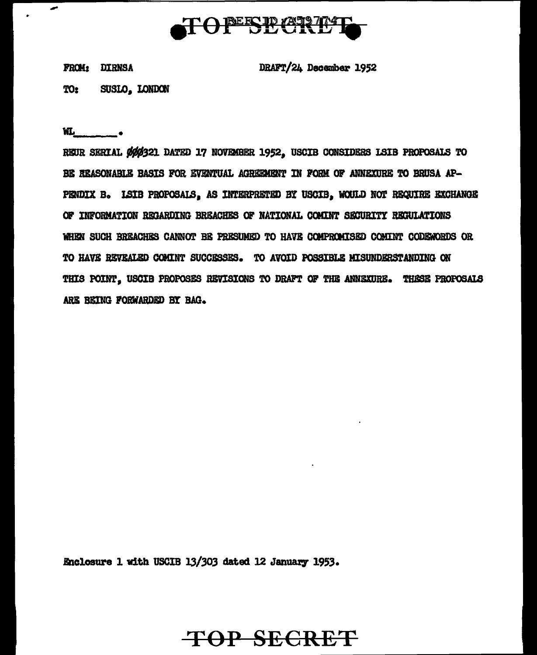

FROM: DIRNSA

DRAFT/24 December 1952

SUSLO. LONDON TO<sub>2</sub>

 $W_L$ 

REUR SERIAL ØØØ321 DATED 17 NOVEMBER 1952, USCIB CONSIDERS LSIB PROPOSALS TO BE REASONABLE BASIS FOR EVENTUAL AGREEMENT IN FORM OF ANNEXURE TO BRUSA AP-PENDIX B. ISIB PROPOSALS, AS INTERPRETED BY USCIB, WOULD NOT REQUIRE EXCHANGE OF INFORMATION RECARDING BREACHES OF NATIONAL COMINT SECURITY REGULATIONS WHEN SUCH BREACHES CANNOT BE PRESUMED TO HAVE COMPROMISED COMINT CODEWORDS OR TO HAVE REVEALED COMINT SUCCESSES. TO AVOID POSSIBLE MISUNDERSTANDING ON THIS POINT, USCIB PROPOSES REVISIONS TO DRAFT OF THE ANNEXURE. THESE PROPOSALS ARE BEING FORWARDED BY BAG.

Enclosure 1 with USCIB 13/303 dated 12 January 1953.

## **TOP SECRET**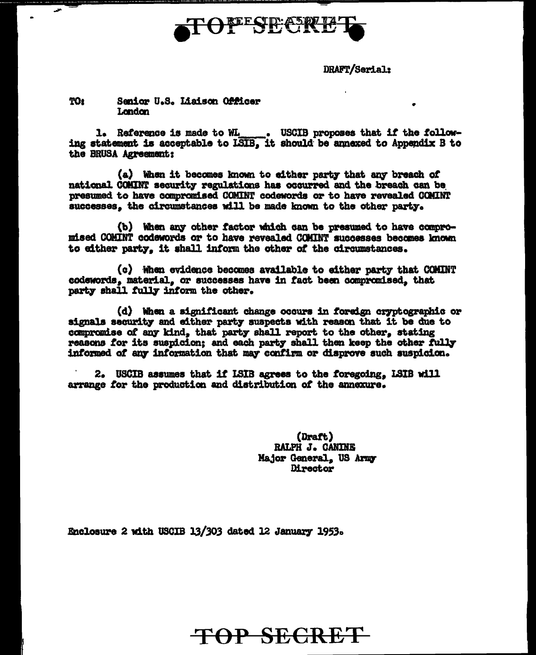

DRAFT/Serial:

## TO: Senior U.S. Liaison Officer London

1. Reference is made to WL \_\_\_\_\_. USCIB proposes that if the following statement is acceptable to ISIB, it should be annexed to Appendix B to the BRUSA Agreement:

(a) When it becomes known to either party that any breach of national COMINT security regulations has occurred and the breach can be presumed to have compromised COMINT codewords or to have revealed COMINT successes, the circumstances will be made known to the other party.

(b) When any other factor which can be presumed to have compromised COMINT codewords or to have revealed COMINT successes becomes known to either party. it shall inform the other of the circumstances.

(c) When evidence becomes available to either party that COMINT codewords, material, or successes have in fact been compromised, that party shall fully inform the other.

(d) When a significant change occurs in foreign cryptographic or signals security and either party suspects with reason that it be due to compromise of any kind, that party shall report to the other, stating reasons for its suspicion; and each party shall then keep the other fully informed of any information that may confirm or disprove such suspicion.

2. USCIB assumes that if ISIB agrees to the foregoing, ISIB will arrange for the production and distribution of the annexure.

> (Draft) RALPH J. CANINE Major General. US Army Director

Enclosure 2 with USCIB 13/303 dated 12 January 1953.

TOP SECRET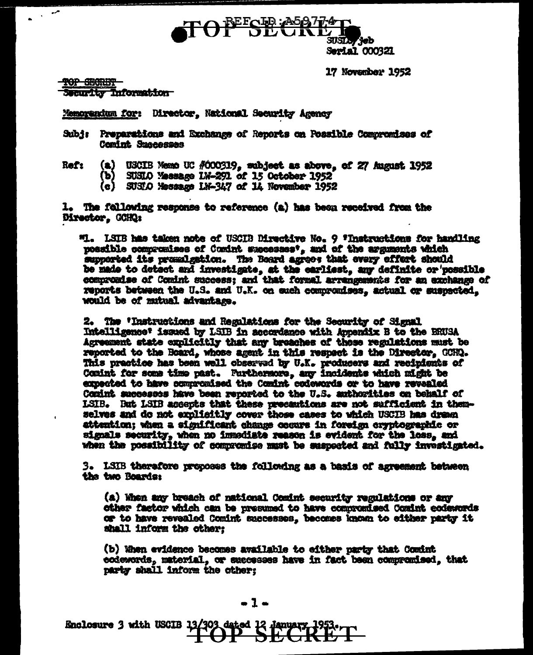

17 November 1952

TOP SECTION Security Information

Memorandum for: Director, National Security Agency

Subj: Preparations and Exchange of Reports on Possible Compromises of Comint Suscesses

- **Ref:**
- (a) USCIB Memo UC #000319, subject as above, of 27 August 1952
	- (b) SUSIO Massage 1M-291 of 15 October 1952
	- (c) SUSIO Message LN-347 of 14 November 1952

1. The following response to reference (a) has been received from the Director, GOHQ:

"1. LSIB has taken note of USCIB Directive No. 9 'Instructions for handling possible compromises of Comint successes', and of the arguments which supported its premalgation. The Board agrees that every effort should be made to detect and investigate, at the earliest, any definite or possible compromise of Comint success; and that formal arrangements for an exchange of reports between the U.S. and U.K. on such compomises, actual or suspected. would be of mutual advantage.

2. The 'Instructions and Regalations for the Security of Signal Intelligence' issued by LSIB in accordance with Appendix B to the BRUSA Agreement state explicitly that any breaches of those regulations must be reported to the Board, whose agent in this respect is the Director, GORD. This practice has been well observed by U.K. producers and recipients of Comint for some time past. Furthermore, any incidents which might be expected to have compromised the Comint codewords or to have revealed Comint successes have been reported to the U.S. authorities on behalf of ISIB. But LSIB accepts that these precautions are not sufficient in themselves and do not explicitly cover those cases to which USCIB has dream attention; when a significant change occurs in foreign cryptographic or signals security, when no immediate reason is evident for the loss, and when the possibility of compromise must be suspected and fully investigated.

3. LSIB therefore proposes the following as a basis of agreement between the two Boards:

(a) When any breach of national Comint security regulations or any other factor which can be presumed to have compromised Comint ecdewords or to have revealed Comint successes, becomes known to either party it shall inform the other;

(b) When evidence becomes available to either party that Comint codewords, material, or successes have in fact been compremised, that party shall inform the other: